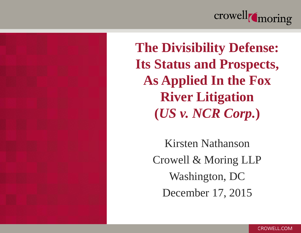



**The Divisibility Defense: Its Status and Prospects, As Applied In the Fox River Litigation (***US v. NCR Corp.***)**

> Kirsten Nathanson Crowell & Moring LLP Washington, DC December 17, 2015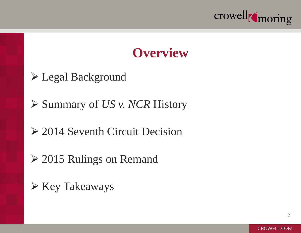

#### **Overview**

Legal Background

**≻ Summary of** *US v. NCR* **History** 

2014 Seventh Circuit Decision

**► 2015 Rulings on Remand** 

 $\triangleright$  Key Takeaways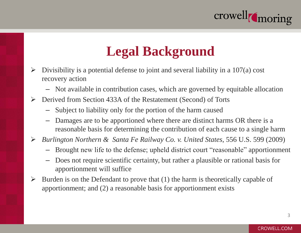

### **Legal Background**

- $\triangleright$  Divisibility is a potential defense to joint and several liability in a 107(a) cost recovery action
	- Not available in contribution cases, which are governed by equitable allocation
- Derived from Section 433A of the Restatement (Second) of Torts
	- Subject to liability only for the portion of the harm caused
	- Damages are to be apportioned where there are distinct harms OR there is a reasonable basis for determining the contribution of each cause to a single harm
- *Burlington Northern & Santa Fe Railway Co. v. United States*, 556 U.S. 599 (2009)
	- Brought new life to the defense; upheld district court "reasonable" apportionment
	- Does not require scientific certainty, but rather a plausible or rational basis for apportionment will suffice
- $\triangleright$  Burden is on the Defendant to prove that (1) the harm is theoretically capable of apportionment; and (2) a reasonable basis for apportionment exists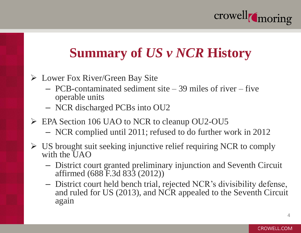

# **Summary of** *US v NCR* **History**

- Lower Fox River/Green Bay Site
	- PCB-contaminated sediment site 39 miles of river five operable units
	- NCR discharged PCBs into OU2
- EPA Section 106 UAO to NCR to cleanup OU2-OU5
	- NCR complied until 2011; refused to do further work in 2012
- $\triangleright$  US brought suit seeking injunctive relief requiring NCR to comply with the UAO
	- District court granted preliminary injunction and Seventh Circuit affirmed (688 F.3d 833 (2012))
	- District court held bench trial, rejected NCR's divisibility defense, and ruled for US (2013), and NCR appealed to the Seventh Circuit again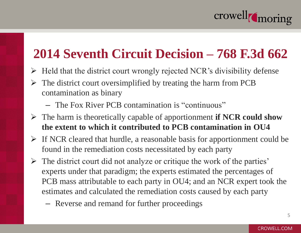

### **2014 Seventh Circuit Decision – 768 F.3d 662**

- $\triangleright$  Held that the district court wrongly rejected NCR's divisibility defense
- $\triangleright$  The district court oversimplified by treating the harm from PCB contamination as binary
	- The Fox River PCB contamination is "continuous"
- The harm is theoretically capable of apportionment **if NCR could show the extent to which it contributed to PCB contamination in OU4**
- $\triangleright$  If NCR cleared that hurdle, a reasonable basis for apportionment could be found in the remediation costs necessitated by each party
- $\triangleright$  The district court did not analyze or critique the work of the parties' experts under that paradigm; the experts estimated the percentages of PCB mass attributable to each party in OU4; and an NCR expert took the estimates and calculated the remediation costs caused by each party
	- Reverse and remand for further proceedings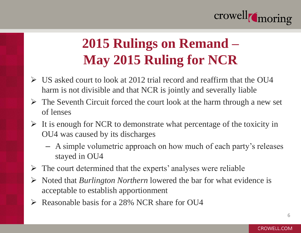

# **2015 Rulings on Remand – May 2015 Ruling for NCR**

- $\triangleright$  US asked court to look at 2012 trial record and reaffirm that the OU4 harm is not divisible and that NCR is jointly and severally liable
- $\triangleright$  The Seventh Circuit forced the court look at the harm through a new set of lenses
- $\triangleright$  It is enough for NCR to demonstrate what percentage of the toxicity in OU4 was caused by its discharges
	- A simple volumetric approach on how much of each party's releases stayed in OU4
- $\triangleright$  The court determined that the experts' analyses were reliable
- Noted that *Burlington Northern* lowered the bar for what evidence is acceptable to establish apportionment
- Reasonable basis for a 28% NCR share for OU4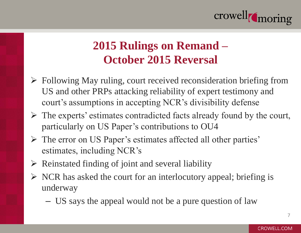

#### **2015 Rulings on Remand – October 2015 Reversal**

- $\triangleright$  Following May ruling, court received reconsideration briefing from US and other PRPs attacking reliability of expert testimony and court's assumptions in accepting NCR's divisibility defense
- $\triangleright$  The experts' estimates contradicted facts already found by the court, particularly on US Paper's contributions to OU4
- The error on US Paper's estimates affected all other parties' estimates, including NCR's
- $\triangleright$  Reinstated finding of joint and several liability
- $\triangleright$  NCR has asked the court for an interlocutory appeal; briefing is underway
	- US says the appeal would not be a pure question of law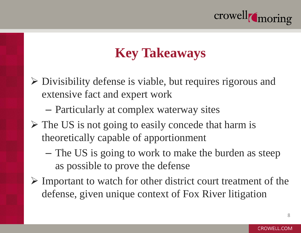

# **Key Takeaways**

- $\triangleright$  Divisibility defense is viable, but requires rigorous and extensive fact and expert work
	- Particularly at complex waterway sites
- $\triangleright$  The US is not going to easily concede that harm is theoretically capable of apportionment
	- The US is going to work to make the burden as steep as possible to prove the defense
- $\triangleright$  Important to watch for other district court treatment of the defense, given unique context of Fox River litigation